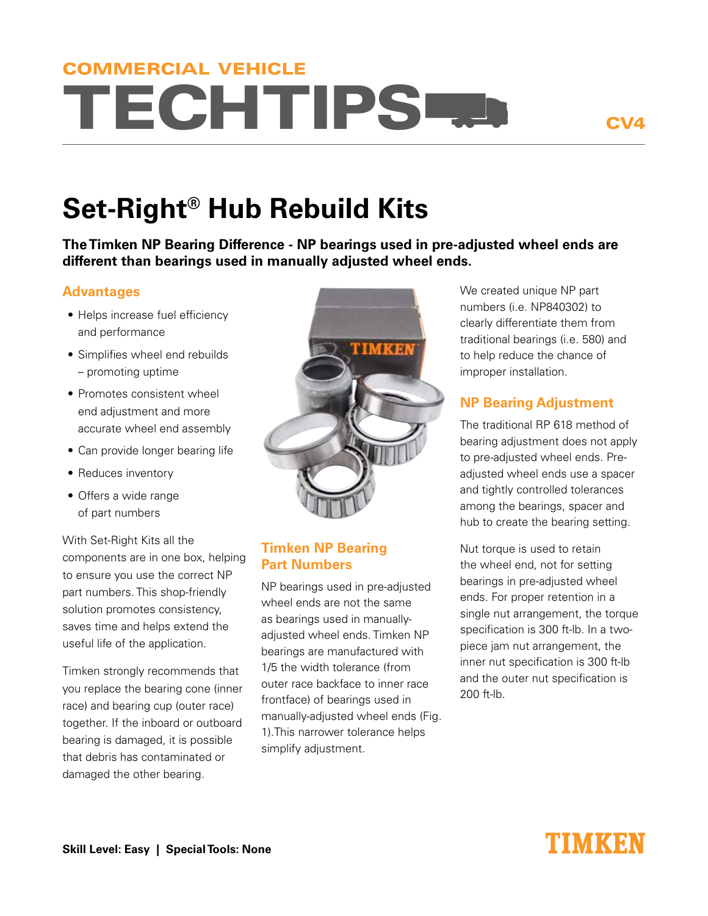# **TECHTIPS THE** COMMERCIAL VEHICLE

# **Set-Right® Hub Rebuild Kits**

**The Timken NP Bearing Difference - NP bearings used in pre-adjusted wheel ends are different than bearings used in manually adjusted wheel ends.**

#### **Advantages**

- Helps increase fuel efficiency and performance
- Simplifies wheel end rebuilds – promoting uptime
- Promotes consistent wheel end adjustment and more accurate wheel end assembly
- Can provide longer bearing life
- Reduces inventory
- Offers a wide range of part numbers

With Set-Right Kits all the components are in one box, helping to ensure you use the correct NP part numbers. This shop-friendly solution promotes consistency, saves time and helps extend the useful life of the application.

Timken strongly recommends that you replace the bearing cone (inner race) and bearing cup (outer race) together. If the inboard or outboard bearing is damaged, it is possible that debris has contaminated or damaged the other bearing.



### **Timken NP Bearing Part Numbers**

NP bearings used in pre-adjusted wheel ends are not the same as bearings used in manuallyadjusted wheel ends. Timken NP bearings are manufactured with 1/5 the width tolerance (from outer race backface to inner race frontface) of bearings used in manually-adjusted wheel ends (Fig. 1).This narrower tolerance helps simplify adjustment.

We created unique NP part numbers (i.e. NP840302) to clearly differentiate them from traditional bearings (i.e. 580) and to help reduce the chance of improper installation.

## **NP Bearing Adjustment**

The traditional RP 618 method of bearing adjustment does not apply to pre-adjusted wheel ends. Preadjusted wheel ends use a spacer and tightly controlled tolerances among the bearings, spacer and hub to create the bearing setting.

Nut torque is used to retain the wheel end, not for setting bearings in pre-adjusted wheel ends. For proper retention in a single nut arrangement, the torque specification is 300 ft-lb. In a twopiece jam nut arrangement, the inner nut specification is 300 ft-lb and the outer nut specification is 200 ft-lb.